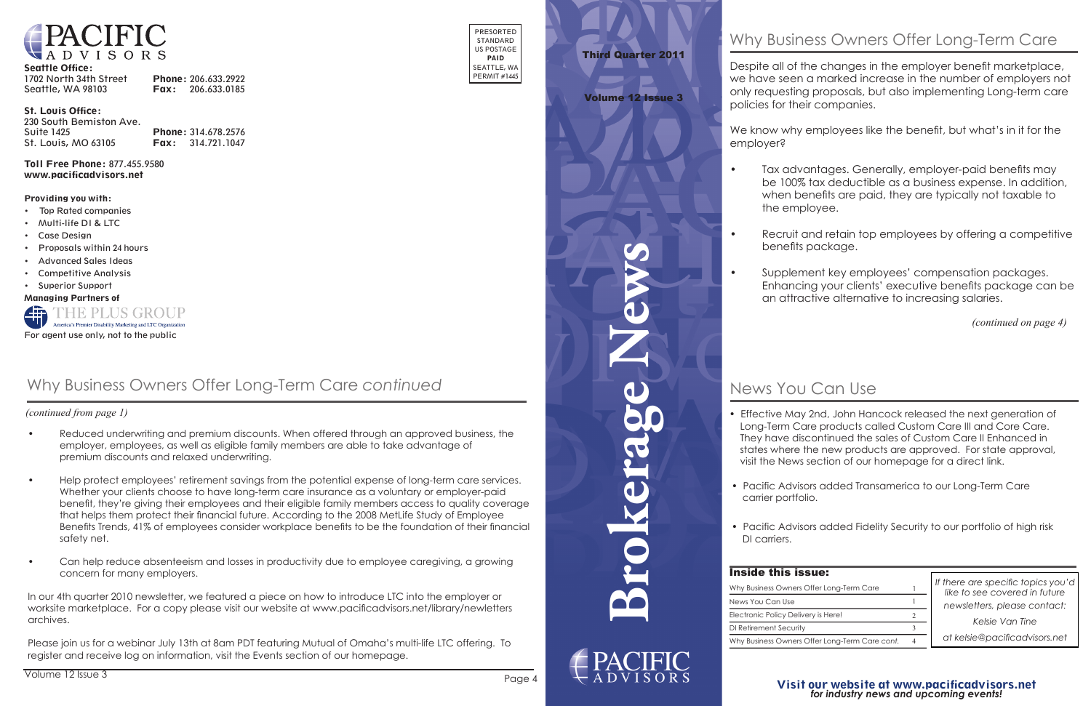**Brokerage News**



Despite all of the changes in the employer benefit marketplace, we have seen a marked increase in the number of employers not only requesting proposals, but also implementing Long-term care policies for their companies.

employer? 03/16 r mily only

- $\bullet$
- 

 $\bullet$ 



#### Seattle Office:

| 1702 North 34th Street | Phone: 206.633.2922      |
|------------------------|--------------------------|
| Seattle, WA 98103      | <b>Fax:</b> 206.633.0185 |

#### St. Louis Office:

| 230 South Bemiston Ave. |                            |
|-------------------------|----------------------------|
| <b>Suite 1425</b>       | Phone: 314.678.2576        |
| St. Louis, MO 63105     | <b>Fax:</b> $314.721.1047$ |

Toll Free Phone: 877.455.9580 www.pacificadvisors.net

PRESORTED STANDARD US POSTAGE PAID SEATTLE, WA PERMIT #1445

#### Providing you with:

- Top Rated companies
- Multi-life DI & LTC
- Case Design
- Proposals within 24 hours
- Advanced Sales Ideas
- Competitive Analysis
- Superior Support

Managing Partners of



 *(continued from page 1)*

# Why Business Owners Offer Long-Term Care

# Why Business Owners Offer Long-Term Care *continued*

*If there are specific topics you'd like to see covered in future*  $\qquad$ *newsletters, please contact:* 

- Reduced underwriting and premium discounts. When offered through an approved business, the employer, employees, as well as eligible family members are able to take advantage of premium discounts and relaxed underwriting.
- Help protect employees' retirement savings from the potential expense of long-term care services. Whether your clients choose to have long-term care insurance as a voluntary or employer-paid benefit, they're giving their employees and their eligible family members access to quality coverage that helps them protect their financial future. According to the 2008 MetLife Study of Employee Benefits Trends, 41% of employees consider workplace benefits to be the foundation of their financial safety net.
- Can help reduce absenteeism and losses in productivity due to employee caregiving, a growing concern for many employers.

 worksite marketplace. For a copy please visit our website at www.pacificadvisors.net/library/newletters In our 4th quarter 2010 newsletter, we featured a piece on how to introduce LTC into the employer or archives.

- 
- carrier portfolio.
- DI carriers. confirm when you course expires (2 years from the date of completion). The date of completion of completion  $\mathcal{L}$

• Pacific Advisors added Fidelity Security to our portfolio of high risk  $\bullet$  Pacific Advisors added Fidelity Security to our portfolio of high ris

| <b>Inside this issue:</b>                      |                |                                                                                                       |
|------------------------------------------------|----------------|-------------------------------------------------------------------------------------------------------|
| Why Business Owners Offer Long-Term Care       |                | If there are specific<br>like to see covere<br>newsletters, pleas<br>Kelsie Van<br>at kelsie@pacifico |
| News You Can Use                               |                |                                                                                                       |
| Electronic Policy Delivery is Here!            |                |                                                                                                       |
| DI Retirement Security                         |                |                                                                                                       |
| Why Business Owners Offer Long-Term Care cont. | $\overline{4}$ |                                                                                                       |
|                                                |                |                                                                                                       |

Please join us for a webinar July 13th at 8am PDT featuring Mutual of Omaha's multi-life LTC offering. To register and receive log on information, visit the Events section of our homepage.

### Visit our website at www.pacificadvisors.net *for industry news and upcoming events! Visit our website at www.pacificadvisors.net for industry news and upcoming events!*

*(continued on page 4)*

• Effective May 2nd, John Hancock released the next generation of Long-Term Care products called Custom Care III and Core Care. • **Union Central** upgrades dental specialists resulting in a 15-20% They have discontinued the sales of Custom Care II Enhanced in states where the new products are approved. For state approval, visit the News section of our homepage for a direct link.

• Pacific Advisors added Transamerica to our Long-Term Care • **LTC refresher** training now due in AZ, AK, IL, NJ, SC and WA. The initial

*Kelsie Van Tine newsletters, please contact:*

*at kelsie@pacificadvisors.net Kelsie Van Tine at kelsie@pacificadvisors.net*

## Third Quarter 2011 First Quarter 2011

#### Volume 12 Issue 3 Volume 12 Issue 1

#### News You Can Use • **AMA and American Bar Association** members can receive a 15%

We know why employees like the benefit, but what's in it for the de la primera de la primera de la primera de la primera de la primera de la primera de la primera de la primer<br>Primera de la primera de la primera de la primera de la primera de la primera de la primera de la primera del MetLife DI Loan Redemption DI

• Tax advantages. Generally, employer-paid benefits may be 100% tax deductible as a business expense. In addition, when benefits are paid, they are typically not taxable to the employee.

• Recruit and retain top employees by offering a competitive benefits package.

• Supplement key employees' compensation packages. Enhancing your clients' executive benefits package can be an attractive alternative to increasing salaries.

10/19